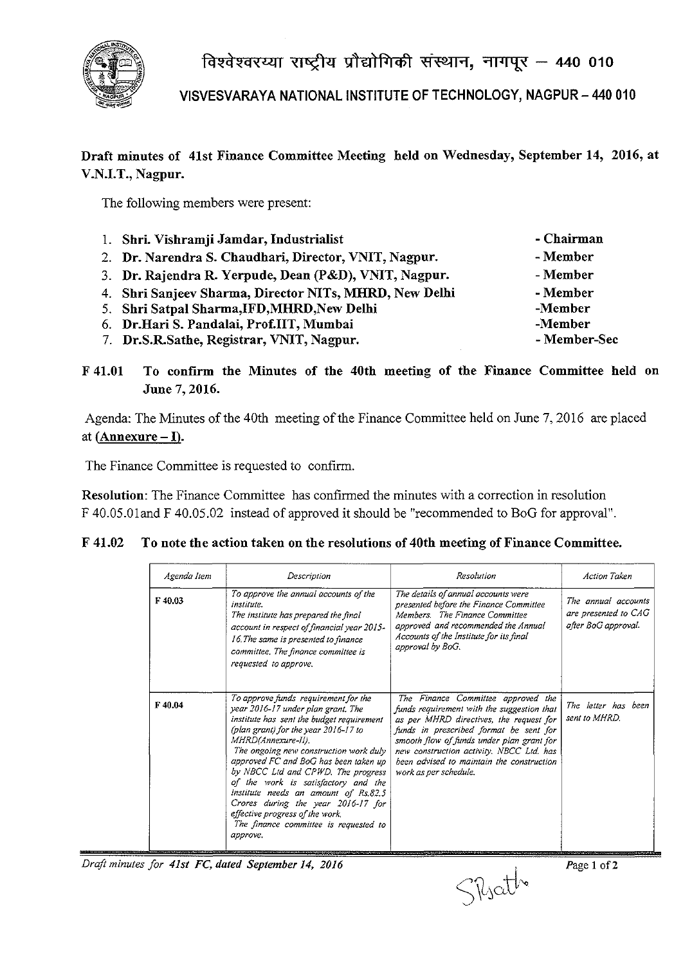

विश्वेश्वरय्या राष्ट्रीय प्रौद्योगिकी संस्थान, नागपूर - 440 010

VISVESVARAYA NATIONAL INSTITUTE OF TECHNOLOGY, NAGPUR - 440 010

## Draft minutes of 41st Finance Committee Meeting held on Wednesday, September 14, 2016, at V.N.I.T., Nagpur.

The following members were present:

| 1. Shri. Vishramji Jamdar, Industrialist               | - Chairman   |
|--------------------------------------------------------|--------------|
| 2. Dr. Narendra S. Chaudhari, Director, VNIT, Nagpur.  | - Member     |
| 3. Dr. Rajendra R. Yerpude, Dean (P&D), VNIT, Nagpur.  | - Member     |
| 4. Shri Sanjeev Sharma, Director NITs, MHRD, New Delhi | - Member     |
| 5. Shri Satpal Sharma, IFD, MHRD, New Delhi            | -Member      |
| 6. Dr. Hari S. Pandalai, Prof.IIT, Mumbai              | -Member      |
| 7. Dr.S.R.Sathe, Registrar, VNIT, Nagpur.              | - Member-Sec |

F 41.01 To confirm the Minutes of the 40th meeting of the Finance Committee held on June 7, 2016.

Agenda: The Minutes of the 40th meeting of the Finance Committee held on June 7, 2016 are placed at  $(Annexure-I).$ 

The Finance Committee is requested to confirm.

Resolution: The Finance Committee has confirmed the minutes with a correction in resolution F 40.05.0Iand F 40.05.02 instead of approved it should be "recommended to BoG for approval".

| Agenda Item | Description                                                                                                                                                                                                                                                                                                                                                                                                                                                                                                                     | Resolution                                                                                                                                                                                                                                                                                                                           | Action Taken                                                       |
|-------------|---------------------------------------------------------------------------------------------------------------------------------------------------------------------------------------------------------------------------------------------------------------------------------------------------------------------------------------------------------------------------------------------------------------------------------------------------------------------------------------------------------------------------------|--------------------------------------------------------------------------------------------------------------------------------------------------------------------------------------------------------------------------------------------------------------------------------------------------------------------------------------|--------------------------------------------------------------------|
| F40.03      | To approve the annual accounts of the<br>institute.<br>The institute has prepared the final<br>account in respect of financial year 2015-<br>16. The same is presented to finance<br>committee. The finance committee is<br>requested to approve.                                                                                                                                                                                                                                                                               | The details of annual accounts were<br>presented before the Finance Committee<br>Members. The Finance Committee<br>approved and recommended the Annual<br>Accounts of the Institute for its final<br>approval by BoG.                                                                                                                | The annual accounts<br>are presented to CAG<br>after BoG approval. |
| F40.04      | To approve funds requirement for the<br>year 2016-17 under plan grant. The<br>institute has sent the budget requirement<br>(plan grant) for the year $2016 - 17$ to<br>MHRD(Annexure-II).<br>The ongoing new construction work duly<br>approved FC and BoG has been taken up<br>by NBCC Lid and CPWD. The progress<br>of the work is satisfactory and the<br>institute needs an amount of Rs.82.5<br>Crores during the year 2016-17 for<br>effective progress of the work.<br>The finance committee is requested to<br>approve. | The Finance Committee approved the<br>funds requirement with the suggestion that<br>as per MHRD directives, the request for<br>funds in prescribed format be sent for<br>smooth flow of funds under plan grant for<br>new construction activity. NBCC Ltd. has<br>been advised to maintain the construction<br>work as per schedule. | The letter has been<br>sent to MHRD.                               |

## F 41.02 To note the action taken on the resolutions of 40th meeting of Finance Committee.

*Draft minutes for 41s1* Fe, *daled September* 14, *2016* 

S\LjCLtl~ *Page* 1 of2